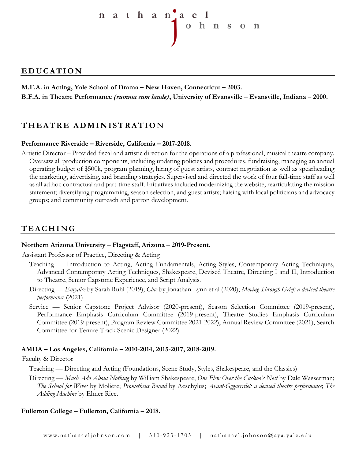

## **EDUCATION**

**M.F.A. in Acting, Yale School of Drama – New Haven, Connecticut – 2003. B.F.A. in Theatre Performance** *(summa cum laude)***, University of Evansville – Evansville, Indiana – 2000.**

# **THEATRE ADMINISTRATION**

## **Performance Riverside – Riverside, California – 2017-2018.**

Artistic Director – Provided fiscal and artistic direction for the operations of a professional, musical theatre company. Oversaw all production components, including updating policies and procedures, fundraising, managing an annual operating budget of \$500k, program planning, hiring of guest artists, contract negotiation as well as spearheading the marketing, advertising, and branding strategies. Supervised and directed the work of four full-time staff as well as all ad hoc contractual and part-time staff. Initiatives included modernizing the website; rearticulating the mission statement; diversifying programming, season selection, and guest artists; liaising with local politicians and advocacy groups; and community outreach and patron development.

# **TEACHIN G**

### **Northern Arizona University – Flagstaff, Arizona – 2019-Present.**

Assistant Professor of Practice, Directing & Acting

- Teaching Introduction to Acting, Acting Fundamentals, Acting Styles, Contemporary Acting Techniques, Advanced Contemporary Acting Techniques, Shakespeare, Devised Theatre, Directing I and II, Introduction to Theatre, Senior Capstone Experience, and Script Analysis.
- Directing *Eurydice* by Sarah Ruhl (2019); *Clue* by Jonathan Lynn et al (2020); *Moving Through Grief: a devised theatre performance* (2021)
- Service Senior Capstone Project Advisor (2020-present), Season Selection Committee (2019-present), Performance Emphasis Curriculum Committee (2019-present), Theatre Studies Emphasis Curriculum Committee (2019-present), Program Review Committee 2021-2022), Annual Review Committee (2021), Search Committee for Tenure Track Scenic Designer (2022).

### **AMDA – Los Angeles, California – 2010-2014, 2015-2017, 2018-2019.**

#### Faculty & Director

- Teaching Directing and Acting (Foundations, Scene Study, Styles, Shakespeare, and the Classics)
- Directing *Much Ado About Nothing* by William Shakespeare; *One Flew Over the Cuckoo's Nest* by Dale Wasserman; *The School for Wives* by Molière; *Prometheus Bound* by Aeschylus; *Avant-Gggarrrde!: a devised theatre performance*; *The Adding Machine* by Elmer Rice.

### **Fullerton College – Fullerton, California – 2018.**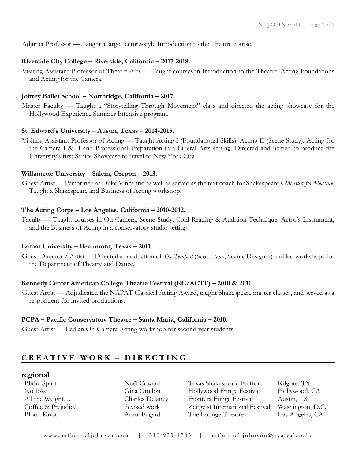Adjunct Professor — Taught a large, lecture-style Introduction to the Theatre course.

### **Riverside City College – Riverside, California – 2017-2018.**

Visiting Assistant Professor of Theatre Arts — Taught courses in Introduction to the Theatre, Acting Foundations and Acting for the Camera.

#### **Joffrey Ballet School – Northridge, California – 2017.**

Master Faculty — Taught a "Storytelling Through Movement" class and directed the acting showcase for the Hollywood Experience Summer Intensive program.

#### **St. Edward's University – Austin, Texas – 2014-2015.**

Visiting Assistant Professor of Acting — Taught Acting I (Foundational Skills), Acting II (Scene Study), Acting for the Camera I & II and Professional Preparation in a Liberal Arts setting. Directed and helped to produce the University's first Senior Showcase to travel to New York City.

#### **Willamette University – Salem, Oregon – 2013.**

Guest Artist — Performed as Duke Vincentio as well as served as the text coach for Shakespeare's *Measure for Measure*. Taught a Shakespeare and Business of Acting workshop.

#### **The Acting Corps – Los Angeles, California – 2010-2012.**

Faculty — Taught courses in On Camera, Scene Study, Cold Reading & Audition Technique, Actor's Instrument, and the Business of Acting in a conservatory studio setting.

#### **Lamar University – Beaumont, Texas – 2011.**

Guest Director / Artist — Directed a production of *The Tempest* (Scott Pask, Scenic Designer) and led workshops for the Department of Theatre and Dance.

### **Kennedy Center American College Theatre Festival (KC/ACTF) – 2010 & 2011.**

Guest Artist — Adjudicated the NAPAT Classical Acting Award, taught Shakespeare master classes, and served as a respondent for invited productions.

#### **PCPA – Pacific Conservatory Theatre – Santa Maria, California – 2010.**

Guest Artist — Led an On-Camera Acting workshop for second year students.

## **CREATIVE WORK – DIRECTING**

#### **regional**

Blithe Spirit Noël Coward Texas Shakespeare Festival Kilgore, TX No Joke Gina Omilon Hollywood Fringe Festival Hollywood, CA All the Weight… Charles Delaney Frontera Fringe Festival Austin, TX Coffee & Prejudice devised work Zeitgeist International Festival Washington, D.C. Blood Knot Athol Fugard The Lounge Theatre Los Angeles, CA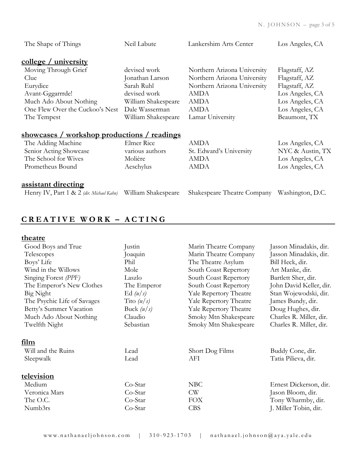| The Shape of Things                                | Neil Labute         | Lankershim Arts Center      | Los Angeles, CA  |
|----------------------------------------------------|---------------------|-----------------------------|------------------|
| <u>college / university</u>                        |                     |                             |                  |
| Moving Through Grief                               | devised work        | Northern Arizona University | Flagstaff, AZ    |
| Clue                                               | Jonathan Larson     | Northern Arizona University | Flagstaff, AZ    |
| Eurydice                                           | Sarah Ruhl          | Northern Arizona University | Flagstaff, AZ    |
| Avant-Gggarrrde!                                   | devised work        | <b>AMDA</b>                 | Los Angeles, CA  |
| Much Ado About Nothing                             | William Shakespeare | <b>AMDA</b>                 | Los Angeles, CA  |
| One Flew Over the Cuckoo's Nest                    | Dale Wasserman      | <b>AMDA</b>                 | Los Angeles, CA  |
| The Tempest                                        | William Shakespeare | Lamar University            | Beaumont, TX     |
| <u>showcases / workshop productions / readings</u> |                     |                             |                  |
| The Adding Machine                                 | Elmer Rice          | <b>AMDA</b>                 | Los Angeles, CA  |
| Senior Acting Showcase                             | various authors     | St. Edward's University     | NYC & Austin, TX |
| The School for Wives                               | Molière             | <b>AMDA</b>                 | Los Angeles, CA  |
| Prometheus Bound                                   | Aeschylus           | <b>AMDA</b>                 | Los Angeles, CA  |
| <u>assistant directing</u>                         |                     |                             |                  |
| Henry IV, Part 1 & 2 (dir. Michael Kahn)           | William Shakespeare | Shakespeare Theatre Company | Washington, D.C. |

# **CREATIVE WORK – ACTING**

| Good Boys and True          | Justin       | Marin Theatre Company         | Jasson Minadakis, dir.  |
|-----------------------------|--------------|-------------------------------|-------------------------|
| Telescopes                  | Joaquin      | Marin Theatre Company         | Jasson Minadakis, dir.  |
| Boys' Life                  | Phil         | The Theatre Asylum            | Bill Heck, dir.         |
| Wind in the Willows         | Mole         | South Coast Repertory         | Art Manke, dir.         |
| Singing Forest (PPF)        | Laszlo       | South Coast Repertory         | Bartlett Sher, dir.     |
| The Emperor's New Clothes   | The Emperor  | South Coast Repertory         | John David Keller, dir. |
| Big Night                   | Ed $(u/s)$   | <b>Yale Repertory Theatre</b> | Stan Wojewodski, dir.   |
| The Psychic Life of Savages | Tito $(u/s)$ | <b>Yale Repertory Theatre</b> | James Bundy, dir.       |
| Betty's Summer Vacation     | Buck $(u/s)$ | <b>Yale Repertory Theatre</b> | Doug Hughes, dir.       |
| Much Ado About Nothing      | Claudio      | Smoky Mtn Shakespeare         | Charles R. Miller, dir. |
| Twelfth Night               | Sebastian    | Smoky Mtn Shakespeare         | Charles R. Miller, dir. |
|                             |              |                               |                         |
| <u>film</u>                 |              |                               |                         |
| Will and the Ruins          | Lead         | Short Dog Films               | Buddy Cone, dir.        |
| Sleepwalk                   | Lead         | AFI                           | Tatia Pilieva, dir.     |
|                             |              |                               |                         |
| television                  |              |                               |                         |
| Medium                      | $Co-Star$    | NBC                           | Ernest Dickerson, dir.  |
| Veronica Mars               | Co-Star      | <b>CW</b>                     | Jason Bloom, dir.       |
| The O.C.                    | $Co-Star$    | <b>FOX</b>                    | Tony Wharmby, dir.      |
| Numb3rs                     | Co-Star      | <b>CBS</b>                    | J. Miller Tobin, dir.   |
|                             |              |                               |                         |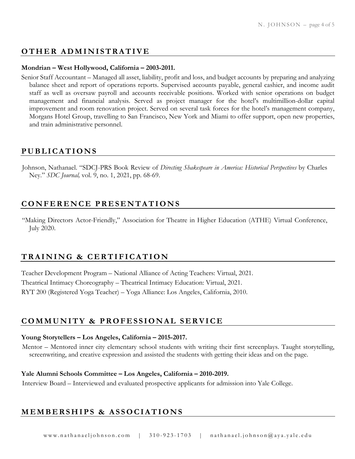# **OTHER ADMINISTRATIVE**

### **Mondrian – West Hollywood, California – 2003-2011.**

Senior Staff Accountant – Managed all asset, liability, profit and loss, and budget accounts by preparing and analyzing balance sheet and report of operations reports. Supervised accounts payable, general cashier, and income audit staff as well as oversaw payroll and accounts receivable positions. Worked with senior operations on budget management and financial analysis. Served as project manager for the hotel's multimillion-dollar capital improvement and room renovation project. Served on several task forces for the hotel's management company, Morgans Hotel Group, travelling to San Francisco, New York and Miami to offer support, open new properties, and train administrative personnel.

## **PUBLICATIONS**

Johnson, Nathanael. "SDCJ-PRS Book Review of *Directing Shakespeare in America: Historical Perspectives* by Charles Ney." *SDC Journal,* vol. 9, no. 1, 2021, pp. 68-69.

## **CONFERENCE PRESENTATIONS**

"Making Directors Actor-Friendly," Association for Theatre in Higher Education (ATHE) Virtual Conference, July 2020.

# **TRAINING & CERTIFICATION**

Teacher Development Program – National Alliance of Acting Teachers: Virtual, 2021. Theatrical Intimacy Choreography – Theatrical Intimacy Education: Virtual, 2021. RYT 200 (Registered Yoga Teacher) – Yoga Alliance: Los Angeles, California, 2010.

# **COMMUNITY & PROFESSIONAL SERVICE**

#### **Young Storytellers – Los Angeles, California – 2015-2017.**

Mentor – Mentored inner city elementary school students with writing their first screenplays. Taught storytelling, screenwriting, and creative expression and assisted the students with getting their ideas and on the page.

### **Yale Alumni Schools Committee – Los Angeles, California – 2010-2019.**

Interview Board – Interviewed and evaluated prospective applicants for admission into Yale College.

# **MEMBERSHIPS & ASSOCIATIONS**